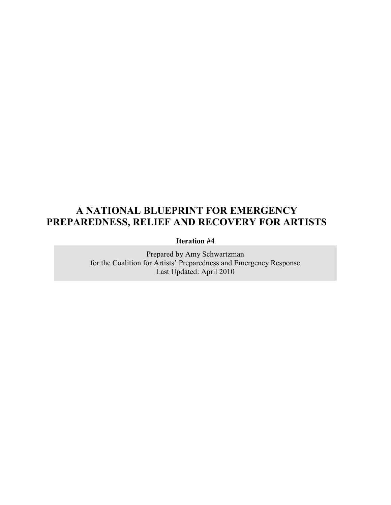# A NATIONAL BLUEPRINT FOR EMERGENCY PREPAREDNESS, RELIEF AND RECOVERY FOR ARTISTS

Iteration #4

Prepared by Amy Schwartzman for the Coalition for Artists' Preparedness and Emergency Response Last Updated: April 2010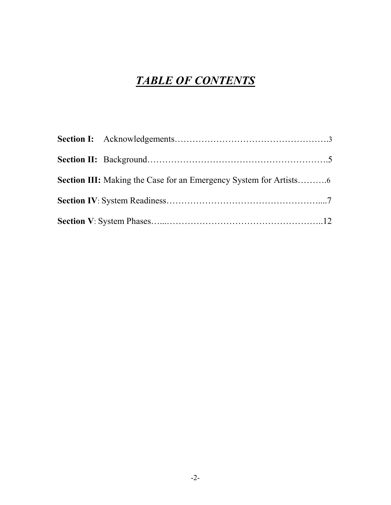# TABLE OF CONTENTS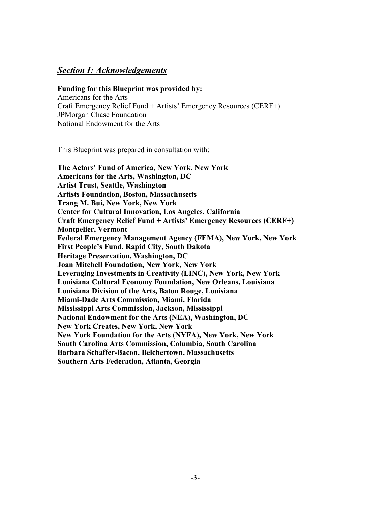#### Section I: Acknowledgements

#### Funding for this Blueprint was provided by:

Americans for the Arts Craft Emergency Relief Fund + Artists' Emergency Resources (CERF+) JPMorgan Chase Foundation National Endowment for the Arts

This Blueprint was prepared in consultation with:

The Actors' Fund of America, New York, New York Americans for the Arts, Washington, DC Artist Trust, Seattle, Washington Artists Foundation, Boston, Massachusetts Trang M. Bui, New York, New York Center for Cultural Innovation, Los Angeles, California Craft Emergency Relief Fund + Artists' Emergency Resources (CERF+) Montpelier, Vermont Federal Emergency Management Agency (FEMA), New York, New York First People's Fund, Rapid City, South Dakota Heritage Preservation, Washington, DC Joan Mitchell Foundation, New York, New York Leveraging Investments in Creativity (LINC), New York, New York Louisiana Cultural Economy Foundation, New Orleans, Louisiana Louisiana Division of the Arts, Baton Rouge, Louisiana Miami-Dade Arts Commission, Miami, Florida Mississippi Arts Commission, Jackson, Mississippi National Endowment for the Arts (NEA), Washington, DC New York Creates, New York, New York New York Foundation for the Arts (NYFA), New York, New York South Carolina Arts Commission, Columbia, South Carolina Barbara Schaffer-Bacon, Belchertown, Massachusetts Southern Arts Federation, Atlanta, Georgia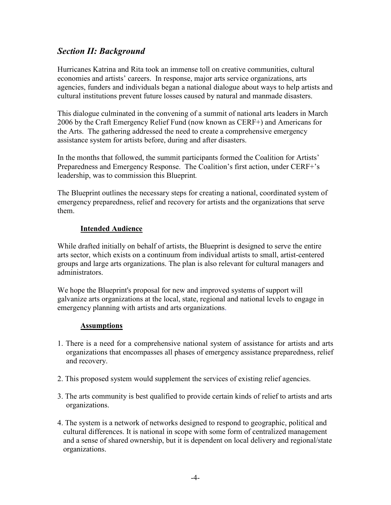## Section II: Background

Hurricanes Katrina and Rita took an immense toll on creative communities, cultural economies and artists' careers. In response, major arts service organizations, arts agencies, funders and individuals began a national dialogue about ways to help artists and cultural institutions prevent future losses caused by natural and manmade disasters.

This dialogue culminated in the convening of a summit of national arts leaders in March 2006 by the Craft Emergency Relief Fund (now known as CERF+) and Americans for the Arts. The gathering addressed the need to create a comprehensive emergency assistance system for artists before, during and after disasters.

In the months that followed, the summit participants formed the Coalition for Artists' Preparedness and Emergency Response. The Coalition's first action, under CERF+'s leadership, was to commission this Blueprint.

The Blueprint outlines the necessary steps for creating a national, coordinated system of emergency preparedness, relief and recovery for artists and the organizations that serve them.

#### Intended Audience

While drafted initially on behalf of artists, the Blueprint is designed to serve the entire arts sector, which exists on a continuum from individual artists to small, artist-centered groups and large arts organizations. The plan is also relevant for cultural managers and administrators.

We hope the Blueprint's proposal for new and improved systems of support will galvanize arts organizations at the local, state, regional and national levels to engage in emergency planning with artists and arts organizations.

#### **Assumptions**

- 1. There is a need for a comprehensive national system of assistance for artists and arts organizations that encompasses all phases of emergency assistance preparedness, relief and recovery.
- 2. This proposed system would supplement the services of existing relief agencies.
- 3. The arts community is best qualified to provide certain kinds of relief to artists and arts organizations.
- 4. The system is a network of networks designed to respond to geographic, political and cultural differences. It is national in scope with some form of centralized management and a sense of shared ownership, but it is dependent on local delivery and regional/state organizations.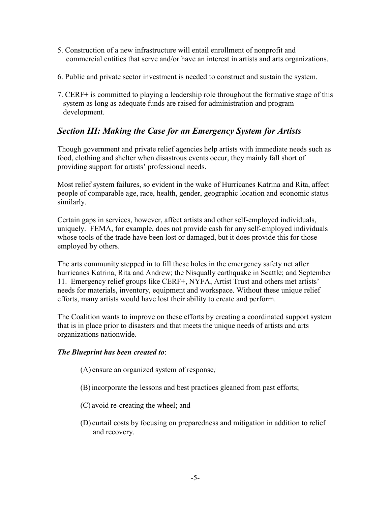- 5. Construction of a new infrastructure will entail enrollment of nonprofit and commercial entities that serve and/or have an interest in artists and arts organizations.
- 6. Public and private sector investment is needed to construct and sustain the system.
- 7. CERF+ is committed to playing a leadership role throughout the formative stage of this system as long as adequate funds are raised for administration and program development.

## Section III: Making the Case for an Emergency System for Artists

Though government and private relief agencies help artists with immediate needs such as food, clothing and shelter when disastrous events occur, they mainly fall short of providing support for artists' professional needs.

Most relief system failures, so evident in the wake of Hurricanes Katrina and Rita, affect people of comparable age, race, health, gender, geographic location and economic status similarly.

Certain gaps in services, however, affect artists and other self-employed individuals, uniquely. FEMA, for example, does not provide cash for any self-employed individuals whose tools of the trade have been lost or damaged, but it does provide this for those employed by others.

The arts community stepped in to fill these holes in the emergency safety net after hurricanes Katrina, Rita and Andrew; the Nisqually earthquake in Seattle; and September 11. Emergency relief groups like CERF+, NYFA, Artist Trust and others met artists' needs for materials, inventory, equipment and workspace. Without these unique relief efforts, many artists would have lost their ability to create and perform.

The Coalition wants to improve on these efforts by creating a coordinated support system that is in place prior to disasters and that meets the unique needs of artists and arts organizations nationwide.

#### The Blueprint has been created to:

(A) ensure an organized system of response;

- (B)incorporate the lessons and best practices gleaned from past efforts;
- (C) avoid re-creating the wheel; and
- (D) curtail costs by focusing on preparedness and mitigation in addition to relief and recovery.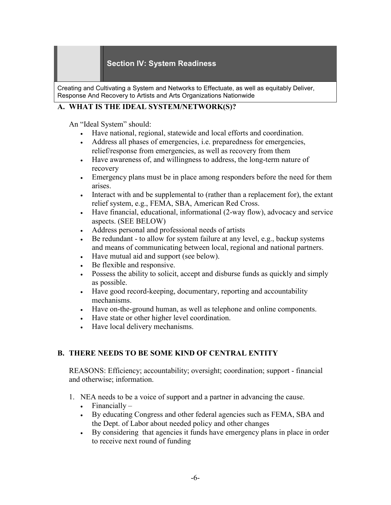#### Section IV: System Readiness

Creating and Cultivating a System and Networks to Effectuate, as well as equitably Deliver, Response And Recovery to Artists and Arts Organizations Nationwide

#### A. WHAT IS THE IDEAL SYSTEM/NETWORK(S)?

An "Ideal System" should:

- Have national, regional, statewide and local efforts and coordination.
- Address all phases of emergencies, i.e. preparedness for emergencies, relief/response from emergencies, as well as recovery from them
- Have awareness of, and willingness to address, the long-term nature of recovery
- Emergency plans must be in place among responders before the need for them arises.
- Interact with and be supplemental to (rather than a replacement for), the extant relief system, e.g., FEMA, SBA, American Red Cross.
- Have financial, educational, informational (2-way flow), advocacy and service aspects. (SEE BELOW)
- Address personal and professional needs of artists
- Be redundant to allow for system failure at any level, e.g., backup systems and means of communicating between local, regional and national partners.
- Have mutual aid and support (see below).
- Be flexible and responsive.
- Possess the ability to solicit, accept and disburse funds as quickly and simply as possible.
- Have good record-keeping, documentary, reporting and accountability mechanisms.
- Have on-the-ground human, as well as telephone and online components.
- Have state or other higher level coordination.
- Have local delivery mechanisms.

#### B. THERE NEEDS TO BE SOME KIND OF CENTRAL ENTITY

REASONS: Efficiency; accountability; oversight; coordination; support - financial and otherwise; information.

- 1. NEA needs to be a voice of support and a partner in advancing the cause.
	- Financially –
	- By educating Congress and other federal agencies such as FEMA, SBA and the Dept. of Labor about needed policy and other changes
	- By considering that agencies it funds have emergency plans in place in order to receive next round of funding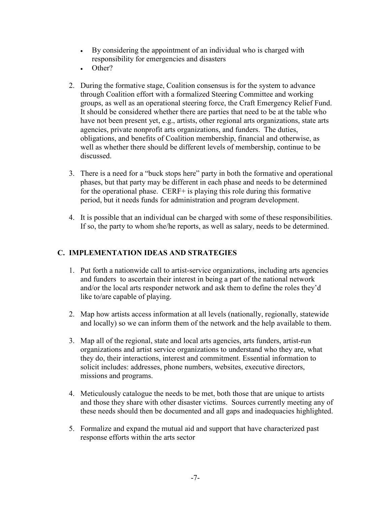- By considering the appointment of an individual who is charged with responsibility for emergencies and disasters
- Other?
- 2. During the formative stage, Coalition consensus is for the system to advance through Coalition effort with a formalized Steering Committee and working groups, as well as an operational steering force, the Craft Emergency Relief Fund. It should be considered whether there are parties that need to be at the table who have not been present yet, e.g., artists, other regional arts organizations, state arts agencies, private nonprofit arts organizations, and funders. The duties, obligations, and benefits of Coalition membership, financial and otherwise, as well as whether there should be different levels of membership, continue to be discussed.
- 3. There is a need for a "buck stops here" party in both the formative and operational phases, but that party may be different in each phase and needs to be determined for the operational phase. CERF+ is playing this role during this formative period, but it needs funds for administration and program development.
- 4. It is possible that an individual can be charged with some of these responsibilities. If so, the party to whom she/he reports, as well as salary, needs to be determined.

#### C. IMPLEMENTATION IDEAS AND STRATEGIES

- 1. Put forth a nationwide call to artist-service organizations, including arts agencies and funders to ascertain their interest in being a part of the national network and/or the local arts responder network and ask them to define the roles they'd like to/are capable of playing.
- 2. Map how artists access information at all levels (nationally, regionally, statewide and locally) so we can inform them of the network and the help available to them.
- 3. Map all of the regional, state and local arts agencies, arts funders, artist-run organizations and artist service organizations to understand who they are, what they do, their interactions, interest and commitment. Essential information to solicit includes: addresses, phone numbers, websites, executive directors, missions and programs.
- 4. Meticulously catalogue the needs to be met, both those that are unique to artists and those they share with other disaster victims. Sources currently meeting any of these needs should then be documented and all gaps and inadequacies highlighted.
- 5. Formalize and expand the mutual aid and support that have characterized past response efforts within the arts sector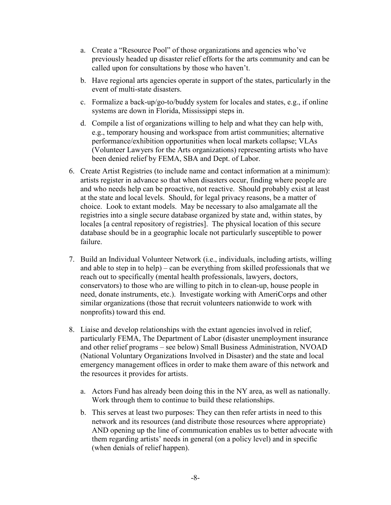- a. Create a "Resource Pool" of those organizations and agencies who've previously headed up disaster relief efforts for the arts community and can be called upon for consultations by those who haven't.
- b. Have regional arts agencies operate in support of the states, particularly in the event of multi-state disasters.
- c. Formalize a back-up/go-to/buddy system for locales and states, e.g., if online systems are down in Florida, Mississippi steps in.
- d. Compile a list of organizations willing to help and what they can help with, e.g., temporary housing and workspace from artist communities; alternative performance/exhibition opportunities when local markets collapse; VLAs (Volunteer Lawyers for the Arts organizations) representing artists who have been denied relief by FEMA, SBA and Dept. of Labor.
- 6. Create Artist Registries (to include name and contact information at a minimum): artists register in advance so that when disasters occur, finding where people are and who needs help can be proactive, not reactive. Should probably exist at least at the state and local levels. Should, for legal privacy reasons, be a matter of choice. Look to extant models. May be necessary to also amalgamate all the registries into a single secure database organized by state and, within states, by locales [a central repository of registries]. The physical location of this secure database should be in a geographic locale not particularly susceptible to power failure.
- 7. Build an Individual Volunteer Network (i.e., individuals, including artists, willing and able to step in to help) – can be everything from skilled professionals that we reach out to specifically (mental health professionals, lawyers, doctors, conservators) to those who are willing to pitch in to clean-up, house people in need, donate instruments, etc.). Investigate working with AmeriCorps and other similar organizations (those that recruit volunteers nationwide to work with nonprofits) toward this end.
- 8. Liaise and develop relationships with the extant agencies involved in relief, particularly FEMA, The Department of Labor (disaster unemployment insurance and other relief programs – see below) Small Business Administration, NVOAD (National Voluntary Organizations Involved in Disaster) and the state and local emergency management offices in order to make them aware of this network and the resources it provides for artists.
	- a. Actors Fund has already been doing this in the NY area, as well as nationally. Work through them to continue to build these relationships.
	- b. This serves at least two purposes: They can then refer artists in need to this network and its resources (and distribute those resources where appropriate) AND opening up the line of communication enables us to better advocate with them regarding artists' needs in general (on a policy level) and in specific (when denials of relief happen).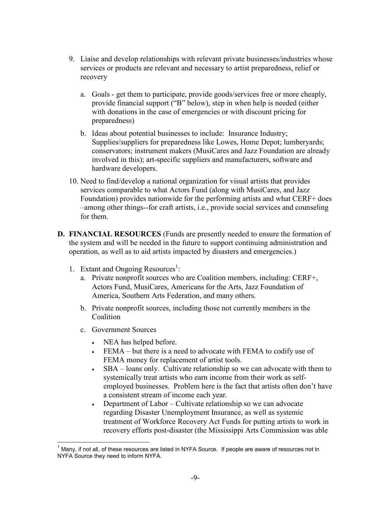- 9. Liaise and develop relationships with relevant private businesses/industries whose services or products are relevant and necessary to artist preparedness, relief or recovery
	- a. Goals get them to participate, provide goods/services free or more cheaply, provide financial support ("B" below), step in when help is needed (either with donations in the case of emergencies or with discount pricing for preparedness)
	- b. Ideas about potential businesses to include: Insurance Industry; Supplies/suppliers for preparedness like Lowes, Home Depot; lumberyards; conservators; instrument makers (MusiCares and Jazz Foundation are already involved in this); art-specific suppliers and manufacturers, software and hardware developers.
- 10. Need to find/develop a national organization for visual artists that provides services comparable to what Actors Fund (along with MusiCares, and Jazz Foundation) provides nationwide for the performing artists and what CERF+ does –among other things--for craft artists, i.e., provide social services and counseling for them.
- D. FINANCIAL RESOURCES (Funds are presently needed to ensure the formation of the system and will be needed in the future to support continuing administration and operation, as well as to aid artists impacted by disasters and emergencies.)
	- 1. Extant and Ongoing Resources<sup>1</sup>:
		- a. Private nonprofit sources who are Coalition members, including: CERF+, Actors Fund, MusiCares, Americans for the Arts, Jazz Foundation of America, Southern Arts Federation, and many others.
		- b. Private nonprofit sources, including those not currently members in the Coalition
		- c. Government Sources
			- NEA has helped before.
			- FEMA but there is a need to advocate with FEMA to codify use of FEMA money for replacement of artist tools.
			- SBA loans only. Cultivate relationship so we can advocate with them to systemically treat artists who earn income from their work as selfemployed businesses. Problem here is the fact that artists often don't have a consistent stream of income each year.
			- Department of Labor Cultivate relationship so we can advocate regarding Disaster Unemployment Insurance, as well as systemic treatment of Workforce Recovery Act Funds for putting artists to work in recovery efforts post-disaster (the Mississippi Arts Commission was able

 $\frac{1}{2}$ 1 Many, if not all, of these resources are listed in NYFA Source. If people are aware of resources not in NYFA Source they need to inform NYFA.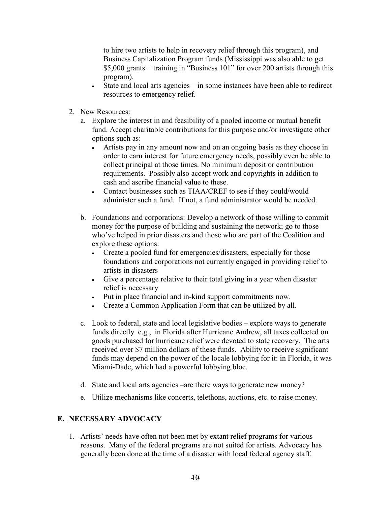to hire two artists to help in recovery relief through this program), and Business Capitalization Program funds (Mississippi was also able to get \$5,000 grants + training in "Business 101" for over 200 artists through this program).

- State and local arts agencies in some instances have been able to redirect resources to emergency relief.
- 2. New Resources:
	- a. Explore the interest in and feasibility of a pooled income or mutual benefit fund. Accept charitable contributions for this purpose and/or investigate other options such as:
		- Artists pay in any amount now and on an ongoing basis as they choose in order to earn interest for future emergency needs, possibly even be able to collect principal at those times. No minimum deposit or contribution requirements. Possibly also accept work and copyrights in addition to cash and ascribe financial value to these.
		- Contact businesses such as TIAA/CREF to see if they could/would administer such a fund. If not, a fund administrator would be needed.
	- b. Foundations and corporations: Develop a network of those willing to commit money for the purpose of building and sustaining the network; go to those who've helped in prior disasters and those who are part of the Coalition and explore these options:
		- Create a pooled fund for emergencies/disasters, especially for those foundations and corporations not currently engaged in providing relief to artists in disasters
		- Give a percentage relative to their total giving in a year when disaster relief is necessary
		- Put in place financial and in-kind support commitments now.
		- Create a Common Application Form that can be utilized by all.
	- c. Look to federal, state and local legislative bodies explore ways to generate funds directly e.g., in Florida after Hurricane Andrew, all taxes collected on goods purchased for hurricane relief were devoted to state recovery. The arts received over \$7 million dollars of these funds. Ability to receive significant funds may depend on the power of the locale lobbying for it: in Florida, it was Miami-Dade, which had a powerful lobbying bloc.
	- d. State and local arts agencies –are there ways to generate new money?
	- e. Utilize mechanisms like concerts, telethons, auctions, etc. to raise money.

#### E. NECESSARY ADVOCACY

1. Artists' needs have often not been met by extant relief programs for various reasons. Many of the federal programs are not suited for artists. Advocacy has generally been done at the time of a disaster with local federal agency staff.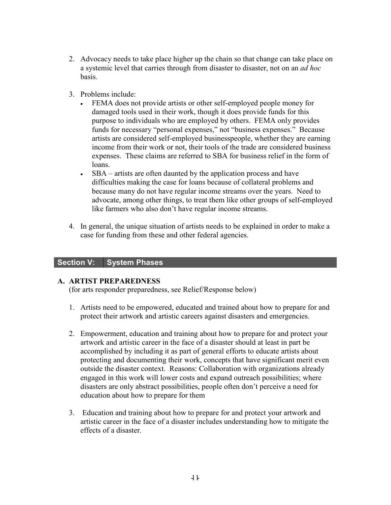- 2. Advocacy needs to take place higher up the chain so that change can take place on a systemic level that carries through from disaster to disaster, not on an *ad hoc* basis.
- 3. Problems include:
	- FEMA does not provide artists or other self-employed people money for damaged tools used in their work, though it does provide funds for this purpose to individuals who are employed by others. FEMA only provides funds for necessary "personal expenses," not "business expenses." Because artists are considered self-employed businesspeople, whether they are earning income from their work or not, their tools of the trade are considered business expenses. These claims are referred to SBA for business relief in the form of loans.
	- SBA artists are often daunted by the application process and have difficulties making the case for loans because of collateral problems and because many do not have regular income streams over the years. Need to advocate, among other things, to treat them like other groups of self-employed like farmers who also don't have regular income streams.
- 4. In general, the unique situation of artists needs to be explained in order to make a case for funding from these and other federal agencies.

#### Section V: System Phases

#### A. ARTIST PREPAREDNESS

(for arts responder preparedness, see Relief/Response below)

- 1. Artists need to be empowered, educated and trained about how to prepare for and protect their artwork and artistic careers against disasters and emergencies.
- 2. Empowerment, education and training about how to prepare for and protect your artwork and artistic career in the face of a disaster should at least in part be accomplished by including it as part of general efforts to educate artists about protecting and documenting their work, concepts that have significant merit even outside the disaster context. Reasons: Collaboration with organizations already engaged in this work will lower costs and expand outreach possibilities; where disasters are only abstract possibilities, people often don't perceive a need for education about how to prepare for them
- 3. Education and training about how to prepare for and protect your artwork and artistic career in the face of a disaster includes understanding how to mitigate the effects of a disaster.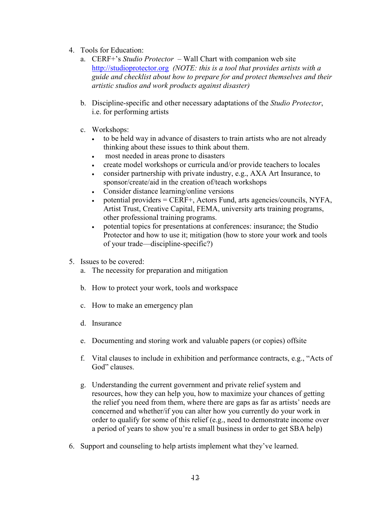- 4. Tools for Education:
	- a. CERF+'s Studio Protector Wall Chart with companion web site http://studioprotector.org (NOTE: this is a tool that provides artists with a guide and checklist about how to prepare for and protect themselves and their artistic studios and work products against disaster)
	- b. Discipline-specific and other necessary adaptations of the Studio Protector, i.e. for performing artists
	- c. Workshops:
		- to be held way in advance of disasters to train artists who are not already thinking about these issues to think about them.
		- most needed in areas prone to disasters
		- create model workshops or curricula and/or provide teachers to locales
		- consider partnership with private industry, e.g., AXA Art Insurance, to sponsor/create/aid in the creation of/teach workshops
		- Consider distance learning/online versions
		- potential providers  $=$  CERF+, Actors Fund, arts agencies/councils, NYFA, Artist Trust, Creative Capital, FEMA, university arts training programs, other professional training programs.
		- potential topics for presentations at conferences: insurance; the Studio Protector and how to use it; mitigation (how to store your work and tools of your trade—discipline-specific?)
- 5. Issues to be covered:
	- a. The necessity for preparation and mitigation
	- b. How to protect your work, tools and workspace
	- c. How to make an emergency plan
	- d. Insurance
	- e. Documenting and storing work and valuable papers (or copies) offsite
	- f. Vital clauses to include in exhibition and performance contracts, e.g., "Acts of God" clauses.
	- g. Understanding the current government and private relief system and resources, how they can help you, how to maximize your chances of getting the relief you need from them, where there are gaps as far as artists' needs are concerned and whether/if you can alter how you currently do your work in order to qualify for some of this relief (e.g., need to demonstrate income over a period of years to show you're a small business in order to get SBA help)
- 6. Support and counseling to help artists implement what they've learned.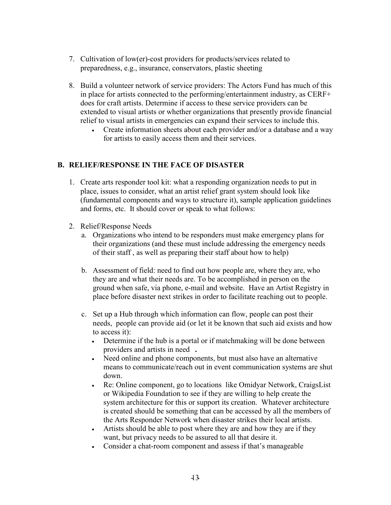- 7. Cultivation of low(er)-cost providers for products/services related to preparedness, e.g., insurance, conservators, plastic sheeting
- 8. Build a volunteer network of service providers: The Actors Fund has much of this in place for artists connected to the performing/entertainment industry, as CERF+ does for craft artists. Determine if access to these service providers can be extended to visual artists or whether organizations that presently provide financial relief to visual artists in emergencies can expand their services to include this.
	- Create information sheets about each provider and/or a database and a way for artists to easily access them and their services.

#### B. RELIEF/RESPONSE IN THE FACE OF DISASTER

- 1. Create arts responder tool kit: what a responding organization needs to put in place, issues to consider, what an artist relief grant system should look like (fundamental components and ways to structure it), sample application guidelines and forms, etc. It should cover or speak to what follows:
- 2. Relief/Response Needs
	- a. Organizations who intend to be responders must make emergency plans for their organizations (and these must include addressing the emergency needs of their staff , as well as preparing their staff about how to help)
	- b. Assessment of field: need to find out how people are, where they are, who they are and what their needs are. To be accomplished in person on the ground when safe, via phone, e-mail and website. Have an Artist Registry in place before disaster next strikes in order to facilitate reaching out to people.
	- c. Set up a Hub through which information can flow, people can post their needs, people can provide aid (or let it be known that such aid exists and how to access it):
		- Determine if the hub is a portal or if matchmaking will be done between providers and artists in need .
		- Need online and phone components, but must also have an alternative means to communicate/reach out in event communication systems are shut down.
		- Re: Online component, go to locations like Omidyar Network, CraigsList or Wikipedia Foundation to see if they are willing to help create the system architecture for this or support its creation. Whatever architecture is created should be something that can be accessed by all the members of the Arts Responder Network when disaster strikes their local artists.
		- Artists should be able to post where they are and how they are if they want, but privacy needs to be assured to all that desire it.
		- Consider a chat-room component and assess if that's manageable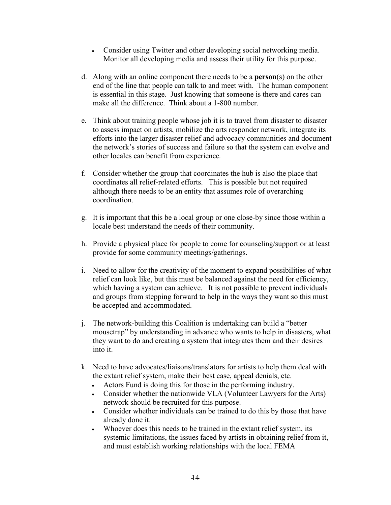- Consider using Twitter and other developing social networking media. Monitor all developing media and assess their utility for this purpose.
- d. Along with an online component there needs to be a person(s) on the other end of the line that people can talk to and meet with. The human component is essential in this stage. Just knowing that someone is there and cares can make all the difference. Think about a 1-800 number.
- e. Think about training people whose job it is to travel from disaster to disaster to assess impact on artists, mobilize the arts responder network, integrate its efforts into the larger disaster relief and advocacy communities and document the network's stories of success and failure so that the system can evolve and other locales can benefit from experience.
- f. Consider whether the group that coordinates the hub is also the place that coordinates all relief-related efforts. This is possible but not required although there needs to be an entity that assumes role of overarching coordination.
- g. It is important that this be a local group or one close-by since those within a locale best understand the needs of their community.
- h. Provide a physical place for people to come for counseling/support or at least provide for some community meetings/gatherings.
- i. Need to allow for the creativity of the moment to expand possibilities of what relief can look like, but this must be balanced against the need for efficiency, which having a system can achieve. It is not possible to prevent individuals and groups from stepping forward to help in the ways they want so this must be accepted and accommodated.
- j. The network-building this Coalition is undertaking can build a "better mousetrap" by understanding in advance who wants to help in disasters, what they want to do and creating a system that integrates them and their desires into it.
- k. Need to have advocates/liaisons/translators for artists to help them deal with the extant relief system, make their best case, appeal denials, etc.
	- Actors Fund is doing this for those in the performing industry.
	- Consider whether the nationwide VLA (Volunteer Lawyers for the Arts) network should be recruited for this purpose.
	- Consider whether individuals can be trained to do this by those that have already done it.
	- Whoever does this needs to be trained in the extant relief system, its systemic limitations, the issues faced by artists in obtaining relief from it, and must establish working relationships with the local FEMA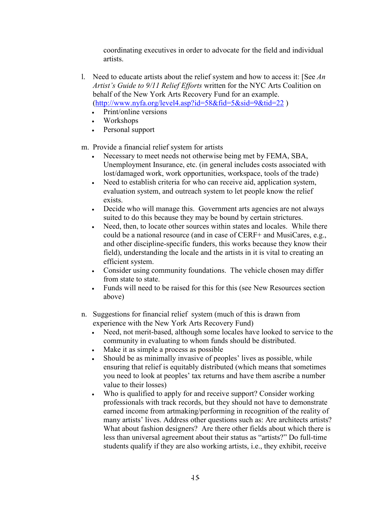coordinating executives in order to advocate for the field and individual artists.

- l. Need to educate artists about the relief system and how to access it: [See  $An$ Artist's Guide to 9/11 Relief Efforts written for the NYC Arts Coalition on behalf of the New York Arts Recovery Fund for an example. (http://www.nyfa.org/level4.asp?id=58&fid=5&sid=9&tid=22 )
	- Print/online versions
	- Workshops
	- Personal support

m. Provide a financial relief system for artists

- Necessary to meet needs not otherwise being met by FEMA, SBA, Unemployment Insurance, etc. (in general includes costs associated with lost/damaged work, work opportunities, workspace, tools of the trade)
- Need to establish criteria for who can receive aid, application system, evaluation system, and outreach system to let people know the relief exists.
- Decide who will manage this. Government arts agencies are not always suited to do this because they may be bound by certain strictures.
- Need, then, to locate other sources within states and locales. While there could be a national resource (and in case of CERF+ and MusiCares, e.g., and other discipline-specific funders, this works because they know their field), understanding the locale and the artists in it is vital to creating an efficient system.
- Consider using community foundations. The vehicle chosen may differ from state to state.
- Funds will need to be raised for this for this (see New Resources section above)
- n. Suggestions for financial relief system (much of this is drawn from experience with the New York Arts Recovery Fund)
	- Need, not merit-based, although some locales have looked to service to the community in evaluating to whom funds should be distributed.
	- Make it as simple a process as possible
	- Should be as minimally invasive of peoples' lives as possible, while ensuring that relief is equitably distributed (which means that sometimes you need to look at peoples' tax returns and have them ascribe a number value to their losses)
	- Who is qualified to apply for and receive support? Consider working professionals with track records, but they should not have to demonstrate earned income from artmaking/performing in recognition of the reality of many artists' lives. Address other questions such as: Are architects artists? What about fashion designers? Are there other fields about which there is less than universal agreement about their status as "artists?" Do full-time students qualify if they are also working artists, i.e., they exhibit, receive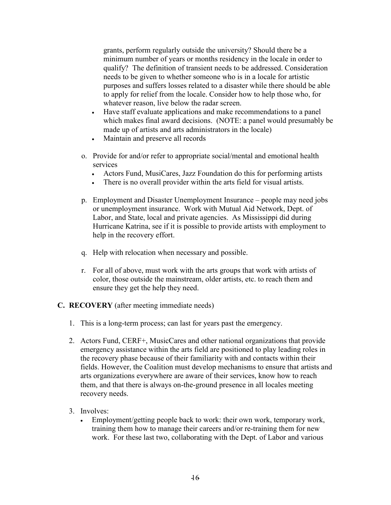grants, perform regularly outside the university? Should there be a minimum number of years or months residency in the locale in order to qualify? The definition of transient needs to be addressed. Consideration needs to be given to whether someone who is in a locale for artistic purposes and suffers losses related to a disaster while there should be able to apply for relief from the locale. Consider how to help those who, for whatever reason, live below the radar screen.

- Have staff evaluate applications and make recommendations to a panel which makes final award decisions. (NOTE: a panel would presumably be made up of artists and arts administrators in the locale)
- Maintain and preserve all records
- o. Provide for and/or refer to appropriate social/mental and emotional health services
	- Actors Fund, MusiCares, Jazz Foundation do this for performing artists
	- There is no overall provider within the arts field for visual artists.
- p. Employment and Disaster Unemployment Insurance people may need jobs or unemployment insurance. Work with Mutual Aid Network, Dept. of Labor, and State, local and private agencies. As Mississippi did during Hurricane Katrina, see if it is possible to provide artists with employment to help in the recovery effort.
- q. Help with relocation when necessary and possible.
- r. For all of above, must work with the arts groups that work with artists of color, those outside the mainstream, older artists, etc. to reach them and ensure they get the help they need.

#### C. RECOVERY (after meeting immediate needs)

- 1. This is a long-term process; can last for years past the emergency.
- 2. Actors Fund, CERF+, MusicCares and other national organizations that provide emergency assistance within the arts field are positioned to play leading roles in the recovery phase because of their familiarity with and contacts within their fields. However, the Coalition must develop mechanisms to ensure that artists and arts organizations everywhere are aware of their services, know how to reach them, and that there is always on-the-ground presence in all locales meeting recovery needs.

#### 3. Involves:

• Employment/getting people back to work: their own work, temporary work, training them how to manage their careers and/or re-training them for new work. For these last two, collaborating with the Dept. of Labor and various